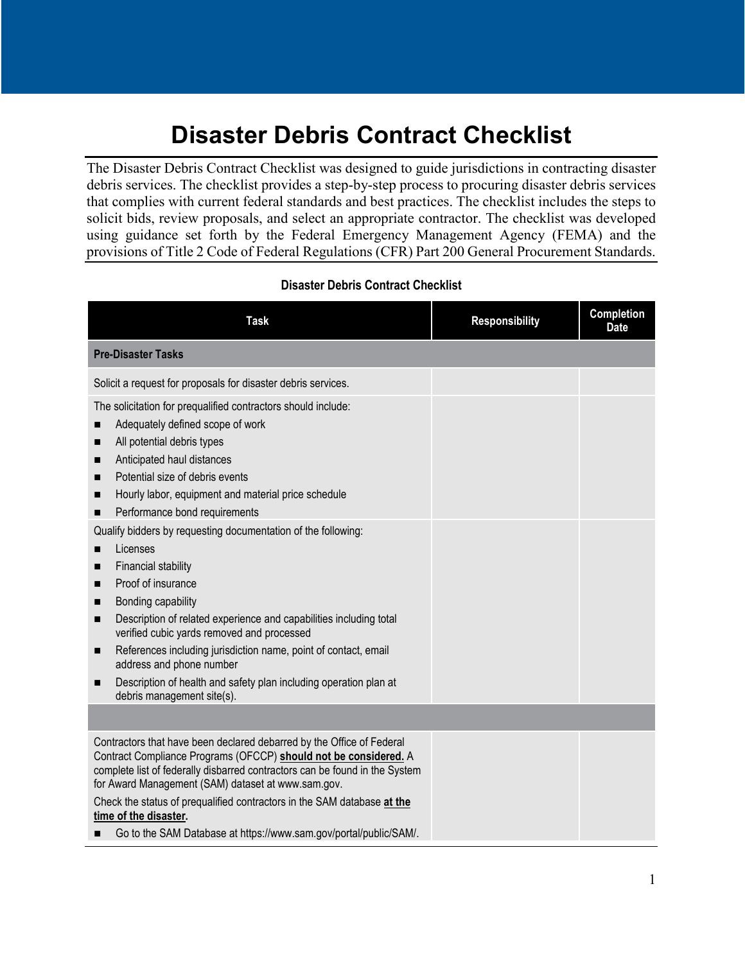## **Disaster Debris Contract Checklist**

The Disaster Debris Contract Checklist was designed to guide jurisdictions in contracting disaster debris services. The checklist provides a step-by-step process to procuring disaster debris services that complies with current federal standards and best practices. The checklist includes the steps to solicit bids, review proposals, and select an appropriate contractor. The checklist was developed using guidance set forth by the Federal Emergency Management Agency (FEMA) and the provisions of Title 2 Code of Federal Regulations (CFR) Part 200 General Procurement Standards.

## **Disaster Debris Contract Checklist**

| <b>Task</b>                                                                                                                                                                                                                                                                                                                                                                                                                                                                                           | <b>Responsibility</b> | Completion<br><b>Date</b> |
|-------------------------------------------------------------------------------------------------------------------------------------------------------------------------------------------------------------------------------------------------------------------------------------------------------------------------------------------------------------------------------------------------------------------------------------------------------------------------------------------------------|-----------------------|---------------------------|
| <b>Pre-Disaster Tasks</b>                                                                                                                                                                                                                                                                                                                                                                                                                                                                             |                       |                           |
| Solicit a request for proposals for disaster debris services.                                                                                                                                                                                                                                                                                                                                                                                                                                         |                       |                           |
| The solicitation for prequalified contractors should include:<br>Adequately defined scope of work<br>■<br>All potential debris types<br>П<br>Anticipated haul distances<br>■<br>Potential size of debris events<br>■<br>Hourly labor, equipment and material price schedule<br>п<br>Performance bond requirements<br>П                                                                                                                                                                                |                       |                           |
| Qualify bidders by requesting documentation of the following:<br>Licenses<br>П<br>Financial stability<br>■<br>Proof of insurance<br>П<br>Bonding capability<br>П<br>Description of related experience and capabilities including total<br>П<br>verified cubic yards removed and processed<br>References including jurisdiction name, point of contact, email<br>п<br>address and phone number<br>Description of health and safety plan including operation plan at<br>п<br>debris management site(s). |                       |                           |
|                                                                                                                                                                                                                                                                                                                                                                                                                                                                                                       |                       |                           |
| Contractors that have been declared debarred by the Office of Federal<br>Contract Compliance Programs (OFCCP) should not be considered. A<br>complete list of federally disbarred contractors can be found in the System<br>for Award Management (SAM) dataset at www.sam.gov.                                                                                                                                                                                                                        |                       |                           |
| Check the status of prequalified contractors in the SAM database at the<br>time of the disaster.                                                                                                                                                                                                                                                                                                                                                                                                      |                       |                           |
| Go to the SAM Database at https://www.sam.gov/portal/public/SAM/.<br>■                                                                                                                                                                                                                                                                                                                                                                                                                                |                       |                           |